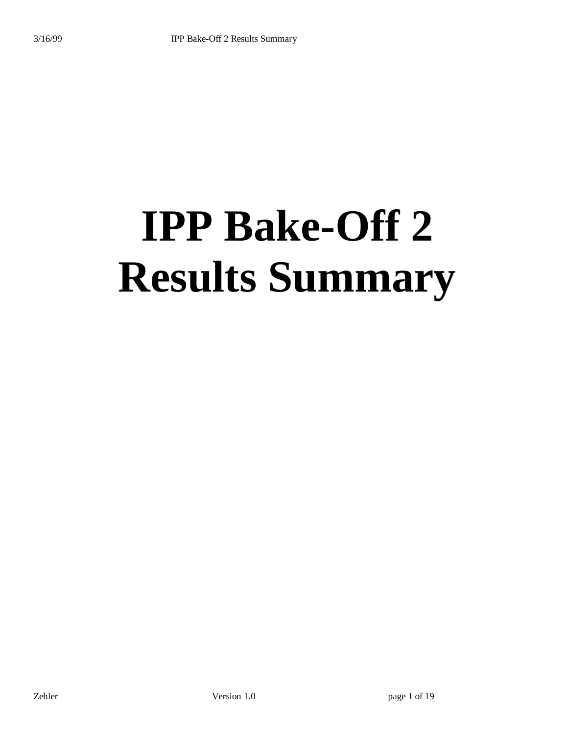# **IPP Bake-Off 2 Results Summary**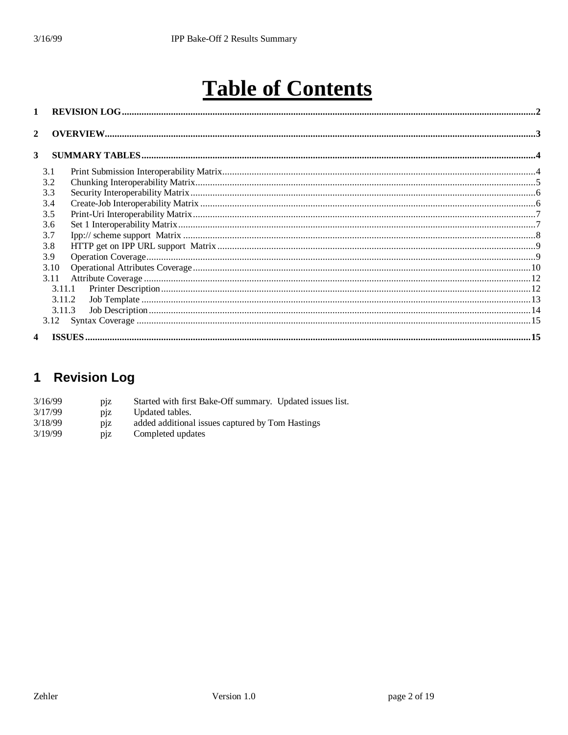# **Table of Contents**

| $\mathbf{1}$            |        |  |
|-------------------------|--------|--|
| $\boldsymbol{2}$        |        |  |
| 3                       |        |  |
|                         | 3.1    |  |
|                         | 3.2    |  |
|                         | 3.3    |  |
|                         | 3.4    |  |
|                         | 3.5    |  |
|                         | 3.6    |  |
|                         | 3.7    |  |
|                         | 3.8    |  |
|                         | 3.9    |  |
|                         | 3.10   |  |
|                         | 3.11   |  |
|                         | 3.11.1 |  |
|                         | 3.11.2 |  |
|                         | 3.11.3 |  |
|                         |        |  |
| $\overline{\mathbf{4}}$ |        |  |
|                         |        |  |

## 1 Revision Log

| 3/16/99 | D1Z | Started with first Bake-Off summary. Updated issues list. |  |
|---------|-----|-----------------------------------------------------------|--|
| 3/17/99 | D1Z | Updated tables.                                           |  |
| 3/18/99 | D1Z | added additional issues captured by Tom Hastings          |  |
| 3/19/99 | D1Z | Completed updates                                         |  |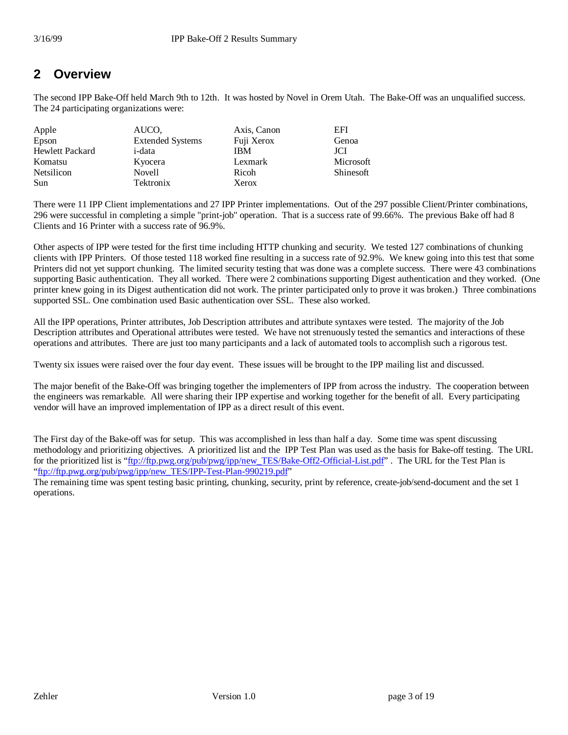#### **2 Overview**

The second IPP Bake-Off held March 9th to 12th. It was hosted by Novel in Orem Utah. The Bake-Off was an unqualified success. The 24 participating organizations were:

| Apple                  | AUCO.                   | Axis, Canon | EFI       |
|------------------------|-------------------------|-------------|-----------|
| Epson                  | <b>Extended Systems</b> | Fuji Xerox  | Genoa     |
| <b>Hewlett Packard</b> | i-data                  | <b>IBM</b>  | JCI       |
| Komatsu                | Kyocera                 | Lexmark     | Microsoft |
| Netsilicon             | <b>Novell</b>           | Ricoh       | Shinesoft |
| Sun                    | Tektronix               | Xerox       |           |

There were 11 IPP Client implementations and 27 IPP Printer implementations. Out of the 297 possible Client/Printer combinations, 296 were successful in completing a simple "print-job" operation. That is a success rate of 99.66%. The previous Bake off had 8 Clients and 16 Printer with a success rate of 96.9%.

Other aspects of IPP were tested for the first time including HTTP chunking and security. We tested 127 combinations of chunking clients with IPP Printers. Of those tested 118 worked fine resulting in a success rate of 92.9%. We knew going into this test that some Printers did not yet support chunking. The limited security testing that was done was a complete success. There were 43 combinations supporting Basic authentication. They all worked. There were 2 combinations supporting Digest authentication and they worked. (One printer knew going in its Digest authentication did not work. The printer participated only to prove it was broken.) Three combinations supported SSL. One combination used Basic authentication over SSL. These also worked.

All the IPP operations, Printer attributes, Job Description attributes and attribute syntaxes were tested. The majority of the Job Description attributes and Operational attributes were tested. We have not strenuously tested the semantics and interactions of these operations and attributes. There are just too many participants and a lack of automated tools to accomplish such a rigorous test.

Twenty six issues were raised over the four day event. These issues will be brought to the IPP mailing list and discussed.

The major benefit of the Bake-Off was bringing together the implementers of IPP from across the industry. The cooperation between the engineers was remarkable. All were sharing their IPP expertise and working together for the benefit of all. Every participating vendor will have an improved implementation of IPP as a direct result of this event.

The First day of the Bake-off was for setup. This was accomplished in less than half a day. Some time was spent discussing methodology and prioritizing objectives. A prioritized list and the IPP Test Plan was used as the basis for Bake-off testing. The URL for the prioritized list is "ftp://ftp.pwg.org/pub/pwg/ipp/new\_TES/Bake-Off2-Official-List.pdf" . The URL for the Test Plan is "ftp://ftp.pwg.org/pub/pwg/ipp/new\_TES/IPP-Test-Plan-990219.pdf"

The remaining time was spent testing basic printing, chunking, security, print by reference, create-job/send-document and the set 1 operations.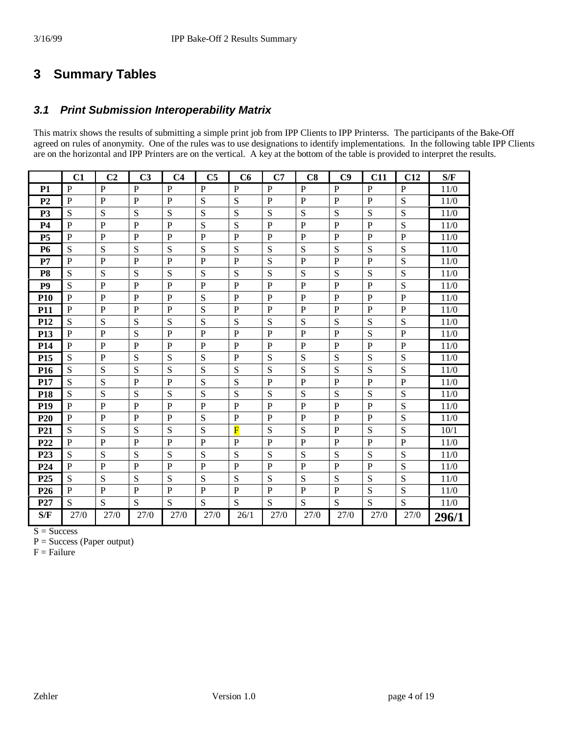#### **3 Summary Tables**

#### *3.1 Print Submission Interoperability Matrix*

This matrix shows the results of submitting a simple print job from IPP Clients to IPP Printerss. The participants of the Bake-Off agreed on rules of anonymity. One of the rules was to use designations to identify implementations. In the following table IPP Clients are on the horizontal and IPP Printers are on the vertical. A key at the bottom of the table is provided to interpret the results.

|                 | C1             | C <sub>2</sub> | C <sub>3</sub> | C <sub>4</sub> | C <sub>5</sub> | C6                      | C7             | C8           | C9             | C11            | C12          | S/F   |
|-----------------|----------------|----------------|----------------|----------------|----------------|-------------------------|----------------|--------------|----------------|----------------|--------------|-------|
| <b>P1</b>       | $\mathbf{P}$   | P              | $\mathbf{P}$   | $\mathbf{P}$   | $\mathbf{P}$   | $\mathbf{P}$            | $\mathbf{P}$   | $\mathbf{P}$ | ${\bf P}$      | $\mathbf{P}$   | $\mathbf{P}$ | 11/0  |
| P <sub>2</sub>  | ${\bf P}$      | $\mathbf{P}$   | ${\bf P}$      | $\overline{P}$ | S              | S                       | $\overline{P}$ | ${\bf P}$    | $\mathbf P$    | $\mathbf P$    | S            | 11/0  |
| P <sub>3</sub>  | S              | S              | S              | S              | S              | S                       | ${\bf S}$      | S            | S              | S              | S            | 11/0  |
| <b>P4</b>       | $\overline{P}$ | $\mathbf{P}$   | $\mathbf P$    | $\overline{P}$ | S              | S                       | $\overline{P}$ | ${\bf P}$    | $\mathbf{P}$   | $\mathbf{P}$   | S            | 11/0  |
| <b>P5</b>       | $\mathbf{P}$   | $\mathbf{P}$   | $\mathbf{P}$   | $\mathbf{P}$   | $\overline{P}$ | $\mathbf{P}$            | $\mathbf{P}$   | $\mathbf{P}$ | $\mathbf{P}$   | $\overline{P}$ | $\mathbf{P}$ | 11/0  |
| <b>P6</b>       | S              | ${\bf S}$      | S              | S              | S              | S                       | S              | S            | S              | S              | S            | 11/0  |
| P7              | $\overline{P}$ | $\mathbf{P}$   | $\mathbf{P}$   | $\mathbf{P}$   | $\overline{P}$ | $\mathbf{P}$            | S              | $\mathbf P$  | $\mathbf{P}$   | $\mathbf{P}$   | S            | 11/0  |
| P <sub>8</sub>  | S              | S              | S              | S              | S              | S                       | S              | S            | S              | S              | S            | 11/0  |
| P <sub>9</sub>  | S              | P              | P              | P              | P              | P                       | P              | P            | P              | P              | S            | 11/0  |
| <b>P10</b>      | ${\bf P}$      | $\mathbf{P}$   | ${\bf P}$      | ${\bf P}$      | S              | ${\bf P}$               | $\mathbf{P}$   | $\mathbf P$  | $\mathbf P$    | $\mathbf{P}$   | $\mathbf{P}$ | 11/0  |
| <b>P11</b>      | $\mathbf{P}$   | $\mathbf{P}$   | $\mathbf{P}$   | $\mathbf{P}$   | S              | P                       | P              | $\mathbf P$  | $\mathbf P$    | $\mathbf{P}$   | P            | 11/0  |
| <b>P12</b>      | S              | S              | S              | S              | S              | S                       | S              | S            | S              | S              | S            | 11/0  |
| P <sub>13</sub> | $\mathbf{P}$   | $\mathbf{P}$   | S              | $\mathbf{P}$   | P              | $\mathbf P$             | P              | $\mathbf P$  | $\mathbf{P}$   | S              | P            | 11/0  |
| P <sub>14</sub> | ${\bf P}$      | $\mathbf{P}$   | $\mathbf P$    | $\mathbf{P}$   | $\mathbf P$    | ${\bf P}$               | $\mathbf P$    | ${\bf P}$    | $\mathbf{P}$   | $\mathbf{P}$   | $\mathbf{P}$ | 11/0  |
| P <sub>15</sub> | S              | $\mathbf{P}$   | S              | S              | S              | P                       | S              | S            | S              | S              | S            | 11/0  |
| P <sub>16</sub> | S              | S              | S              | S              | S              | S                       | S              | S            | S              | S              | S            | 11/0  |
| P17             | S              | S              | $\mathbf{P}$   | ${\bf P}$      | S              | S                       | $\mathbf{P}$   | $\mathbf P$  | $\mathbf{P}$   | $\mathbf{P}$   | $\mathbf{P}$ | 11/0  |
| P <sub>18</sub> | S              | S              | S              | S              | S              | S                       | ${\bf S}$      | S            | S              | S              | S            | 11/0  |
| P <sub>19</sub> | $\mathbf{P}$   | P              | $\mathbf{P}$   | $\mathbf{P}$   | $\mathbf P$    | P                       | $\mathbf{P}$   | $\mathbf{P}$ | $\overline{P}$ | $\mathbf{P}$   | S            | 11/0  |
| P <sub>20</sub> | $\mathbf{P}$   | P              | ${\bf P}$      | $\mathbf{P}$   | S              | $\mathbf P$             | $\mathbf{P}$   | ${\bf P}$    | $\mathbf P$    | $\mathbf{P}$   | S            | 11/0  |
| P21             | S              | S              | S              | S              | S              | $\overline{\mathrm{F}}$ | S              | S            | $\mathbf{P}$   | S              | S            | 10/1  |
| P <sub>22</sub> | P              | $\mathbf{P}$   | $\mathbf{P}$   | $\mathbf{P}$   | $\overline{P}$ | $\mathbf{P}$            | $\mathbf{P}$   | $\mathbf{P}$ | $\mathbf P$    | $\mathbf{P}$   | P            | 11/0  |
| P <sub>23</sub> | S              | S              | S              | S              | S              | S                       | S              | S            | S              | S              | S            | 11/0  |
| P <sub>24</sub> | $\mathbf{P}$   | P              | ${\bf P}$      | $\mathbf{P}$   | $\mathbf P$    | $\mathbf{P}$            | P              | $\mathbf P$  | $\mathbf P$    | $\mathbf P$    | S            | 11/0  |
| P <sub>25</sub> | S              | S              | S              | S              | S              | S                       | S              | S            | S              | S              | S            | 11/0  |
| P <sub>26</sub> | $\mathbf{P}$   | $\mathbf{P}$   | $\mathbf{P}$   | $\mathbf{P}$   | $\mathbf P$    | $\mathbf{P}$            | $\mathbf{P}$   | $\mathbf{P}$ | $\mathbf P$    | S              | S            | 11/0  |
| P27             | S              | S              | S              | S              | S              | S                       | S              | S            | S              | S              | S            | 11/0  |
| S/F             | 27/0           | 27/0           | 27/0           | 27/0           | 27/0           | 26/1                    | 27/0           | 27/0         | 27/0           | 27/0           | 27/0         | 296/1 |

 $S = Success$ 

 $P = Success (Paper output)$ 

 $F =$ Failure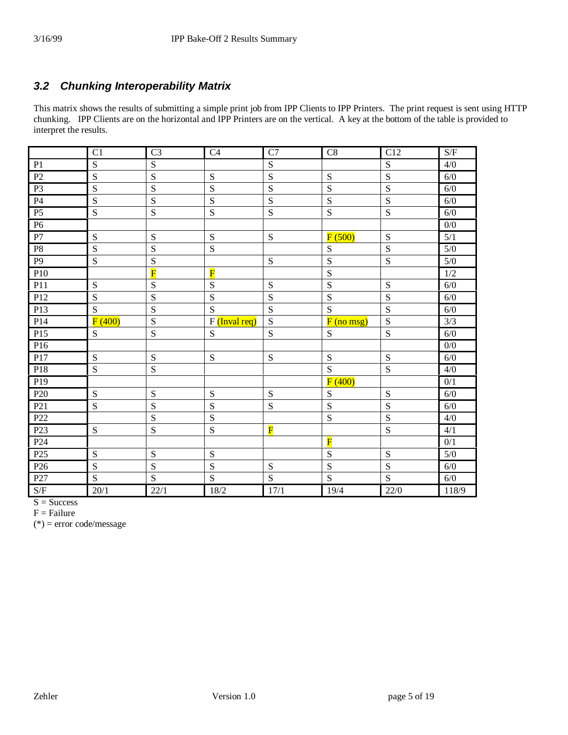#### *3.2 Chunking Interoperability Matrix*

This matrix shows the results of submitting a simple print job from IPP Clients to IPP Printers. The print request is sent using HTTP chunking. IPP Clients are on the horizontal and IPP Printers are on the vertical. A key at the bottom of the table is provided to interpret the results.

|                 | $\overline{C}$ | $\overline{C}3$         | C <sub>4</sub>          | $\overline{C7}$         | C8                      | $\overline{C12}$ | S/F              |
|-----------------|----------------|-------------------------|-------------------------|-------------------------|-------------------------|------------------|------------------|
| P <sub>1</sub>  | S              | S                       |                         | S                       |                         | S                | 4/0              |
| P <sub>2</sub>  | S              | S                       | S                       | S                       | S                       | S                | 6/0              |
| P <sub>3</sub>  | S              | S                       | S                       | S                       | S                       | S                | 6/0              |
| <b>P4</b>       | S              | S                       | S                       | S                       | $\mathbf S$             | S                | 6/0              |
| P <sub>5</sub>  | S              | S                       | S                       | ${\bf S}$               | S                       | ${\bf S}$        | 6/0              |
| P <sub>6</sub>  |                |                         |                         |                         |                         |                  | $\overline{0/0}$ |
| P7              | S              | S                       | S                       | S                       | F(500)                  | S                | 5/1              |
| P <sub>8</sub>  | S              | S                       | S                       |                         | S                       | S                | 5/0              |
| P <sub>9</sub>  | S              | S                       |                         | ${\bf S}$               | S                       | S                | $5/0$            |
| P10             |                | $\overline{\mathbf{F}}$ | $\overline{\mathbf{F}}$ |                         | $\overline{S}$          |                  | 1/2              |
| P11             | ${\bf S}$      | S                       | S                       | S                       | S                       | S                | 6/0              |
| P12             | $\mathbf S$    | S                       | S                       | S                       | S                       | S                | 6/0              |
| P13             | S              | S                       | S                       | S                       | S                       | S                | 6/0              |
| P <sub>14</sub> | F(400)         | S                       | $F$ (Inval req)         | S                       | $F($ no msg $)$         | S                | 3/3              |
| P15             | ${\bf S}$      | ${\bf S}$               | S                       | S                       | ${\bf S}$               | ${\bf S}$        | 6/0              |
| P16             |                |                         |                         |                         |                         |                  | 0/0              |
| P17             | S              | S                       | S                       | S                       | S                       | S                | 6/0              |
| P18             | S              | S                       |                         |                         | S                       | S                | 4/0              |
| P <sub>19</sub> |                |                         |                         |                         | F(400)                  |                  | 0/1              |
| P <sub>20</sub> | S              | S                       | S                       | S                       | S                       | S                | 6/0              |
| P <sub>21</sub> | S              | S                       | S                       | S                       | S                       | S                | 6/0              |
| P22             |                | S                       | S                       |                         | S                       | S                | 4/0              |
| P <sub>23</sub> | ${\bf S}$      | S                       | S                       | $\overline{\mathbf{F}}$ |                         | S                | 4/1              |
| P <sub>24</sub> |                |                         |                         |                         | $\overline{\mathbf{F}}$ |                  | 0/1              |
| P <sub>25</sub> | S              | S                       | S                       |                         | S                       | S                | 5/0              |
| P <sub>26</sub> | S              | S                       | $\overline{\mathbf{S}}$ | ${\bf S}$               | $\overline{\mathbf{S}}$ | S                | 6/0              |
| P <sub>27</sub> | S              | S                       | S                       | S                       | $\overline{S}$          | S                | $6/0$            |
| S/F             | 20/1           | 22/1                    | 18/2                    | 17/1                    | 19/4                    | 22/0             | 118/9            |

 $S = Success$ 

 $F =$ Failure

(\*) = error code/message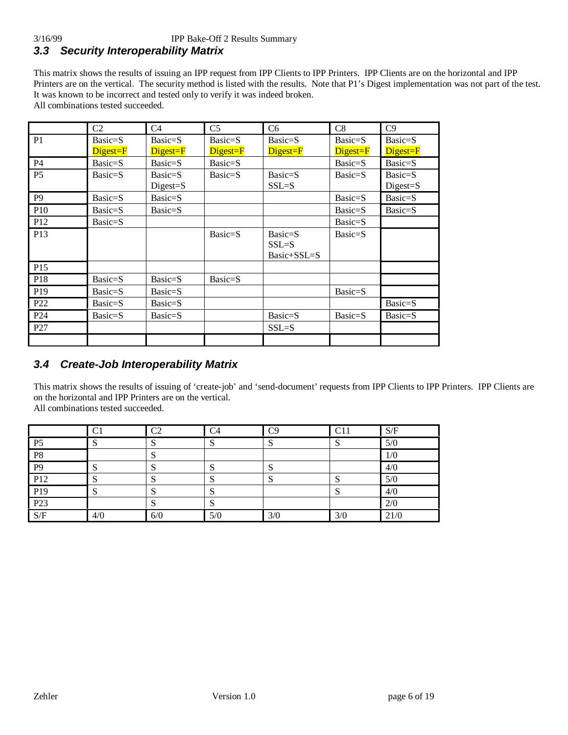#### 3/16/99 IPP Bake-Off 2 Results Summary *3.3 Security Interoperability Matrix*

This matrix shows the results of issuing an IPP request from IPP Clients to IPP Printers. IPP Clients are on the horizontal and IPP Printers are on the vertical. The security method is listed with the results. Note that P1's Digest implementation was not part of the test. It was known to be incorrect and tested only to verify it was indeed broken. All combinations tested succeeded.

|                 | C2                                               | C4                | C <sub>5</sub>                                   | C <sub>6</sub> | C8        | C9       |
|-----------------|--------------------------------------------------|-------------------|--------------------------------------------------|----------------|-----------|----------|
| P <sub>1</sub>  | Basic=S                                          | Basic=S           | Basic=S                                          | Basic=S        | Basic=S   | Basic=S  |
|                 | $\overline{\text{Digest}} = \overline{\text{F}}$ | Digest=F          | $\overline{\text{Digest}} = \overline{\text{F}}$ | Digest=F       | Digest=F  | Digest=F |
| P <sub>4</sub>  | Basic=S                                          | Basic=S           | Basic=S                                          |                | $Basic=S$ | Basic=S  |
| P <sub>5</sub>  | Basic=S                                          | $Basic=S$         | Basic=S                                          | Basic=S        | Basic=S   | Basic=S  |
|                 |                                                  | $\text{Digest}=S$ |                                                  | $SSL = S$      |           | Digest=S |
| P <sub>9</sub>  | Basic=S                                          | Basic=S           |                                                  |                | Basic=S   | Basic=S  |
| P10             | Basic=S                                          | Basic=S           |                                                  |                | Basic=S   | Basic=S  |
| P <sub>12</sub> | Basic=S                                          |                   |                                                  |                | Basic=S   |          |
| P13             |                                                  |                   | Basic=S                                          | Basic=S        | Basic=S   |          |
|                 |                                                  |                   |                                                  | $SSL = S$      |           |          |
|                 |                                                  |                   |                                                  | Basic+SSL=S    |           |          |
| P <sub>15</sub> |                                                  |                   |                                                  |                |           |          |
| P18             | Basic=S                                          | Basic=S           | Basic=S                                          |                |           |          |
| P <sub>19</sub> | Basic=S                                          | Basic=S           |                                                  |                | Basic=S   |          |
| P <sub>22</sub> | Basic=S                                          | Basic=S           |                                                  |                |           | Basic=S  |
| P <sub>24</sub> | Basic=S                                          | Basic=S           |                                                  | Basic=S        | Basic=S   | Basic=S  |
| P27             |                                                  |                   |                                                  | $SSL = S$      |           |          |
|                 |                                                  |                   |                                                  |                |           |          |

#### *3.4 Create-Job Interoperability Matrix*

This matrix shows the results of issuing of 'create-job' and 'send-document' requests from IPP Clients to IPP Printers. IPP Clients are on the horizontal and IPP Printers are on the vertical.

All combinations tested succeeded.

|                 | C1  | C <sub>2</sub> | C <sub>4</sub> | C9  | C11 | S/F  |
|-----------------|-----|----------------|----------------|-----|-----|------|
| P <sub>5</sub>  |     | N              |                | ມ   |     | 5/0  |
| P8              |     | ມ              |                |     |     | 1/0  |
| P <sub>9</sub>  |     | N              |                |     |     | 4/0  |
| P12             |     | ى              | ມ              | ມ   |     | 5/0  |
| P <sub>19</sub> |     | $\sim$<br>N    |                |     |     | 4/0  |
| P <sub>23</sub> |     | ື              |                |     |     | 2/0  |
| S/F             | 4/0 | 6/0            | 5/0            | 3/0 | 3/0 | 21/0 |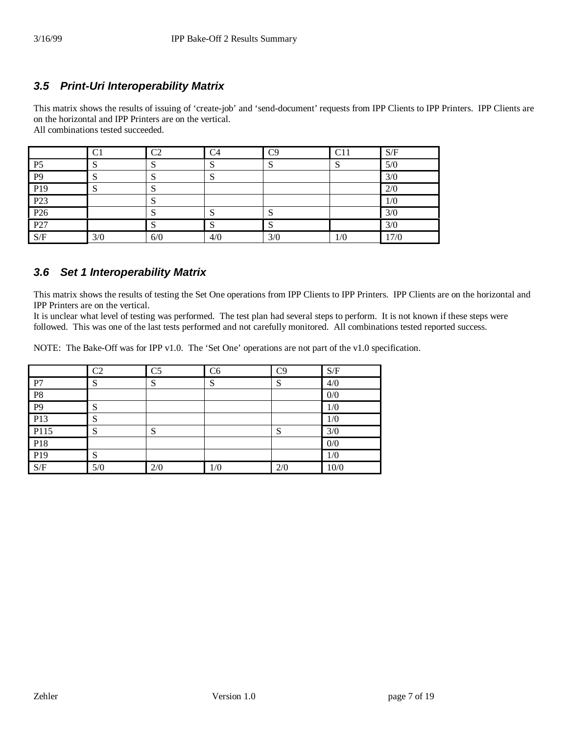#### *3.5 Print-Uri Interoperability Matrix*

This matrix shows the results of issuing of 'create-job' and 'send-document' requests from IPP Clients to IPP Printers. IPP Clients are on the horizontal and IPP Printers are on the vertical. All combinations tested succeeded.

|                 | C1  | C <sub>2</sub>   | C <sub>4</sub> | C9  | C11 | S/F  |
|-----------------|-----|------------------|----------------|-----|-----|------|
| P <sub>5</sub>  |     | $\mathbf C$<br>N | ມ              | ມ   | N   | 5/0  |
| P <sub>9</sub>  |     | c<br>P           | IJ             |     |     | 3/0  |
| P19             |     | c<br>P           |                |     |     | 2/0  |
| P <sub>23</sub> |     | S                |                |     |     | 1/0  |
| P <sub>26</sub> |     | c<br>N           | ມ              | ى   |     | 3/0  |
| P <sub>27</sub> |     | S                | د۱             | د   |     | 3/0  |
| S/F             | 3/0 | 6/0              | 4/0            | 3/0 | 1/0 | 17/0 |

#### *3.6 Set 1 Interoperability Matrix*

This matrix shows the results of testing the Set One operations from IPP Clients to IPP Printers. IPP Clients are on the horizontal and IPP Printers are on the vertical.

It is unclear what level of testing was performed. The test plan had several steps to perform. It is not known if these steps were followed. This was one of the last tests performed and not carefully monitored. All combinations tested reported success.

NOTE: The Bake-Off was for IPP v1.0. The 'Set One' operations are not part of the v1.0 specification.

|                 | C <sub>2</sub> | C <sub>5</sub> | C6           | C9  | S/F  |
|-----------------|----------------|----------------|--------------|-----|------|
| P7              | G<br>د         | S              | $\mathbf{C}$ | ຕ   | 4/0  |
| P8              |                |                |              |     | 0/0  |
| $\overline{P9}$ | c              |                |              |     | 1/0  |
| P <sub>13</sub> | C۱             |                |              |     | 1/0  |
| P115            | S              | ຕ<br>P         |              | N   | 3/0  |
| P <sub>18</sub> |                |                |              |     | 0/0  |
| P <sub>19</sub> |                |                |              |     | 1/0  |
| S/F             | 5/0            | 2/0            | 1/0          | 2/0 | 10/0 |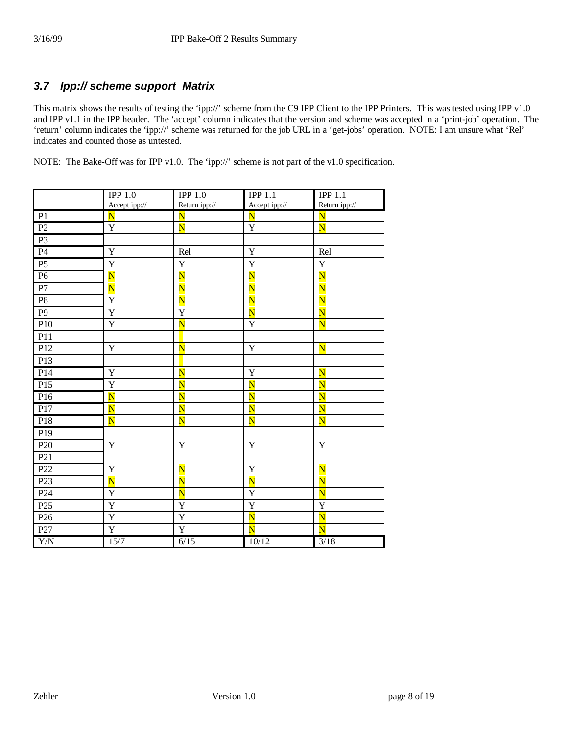#### *3.7 Ipp:// scheme support Matrix*

This matrix shows the results of testing the 'ipp://' scheme from the C9 IPP Client to the IPP Printers. This was tested using IPP v1.0 and IPP v1.1 in the IPP header. The 'accept' column indicates that the version and scheme was accepted in a 'print-job' operation. The 'return' column indicates the 'ipp://' scheme was returned for the job URL in a 'get-jobs' operation. NOTE: I am unsure what 'Rel' indicates and counted those as untested.

NOTE: The Bake-Off was for IPP v1.0. The 'ipp://' scheme is not part of the v1.0 specification.

|                 | IPP 1.0                 | IPP 1.0                 | IPP 1.1                 | IPP 1.1                 |
|-----------------|-------------------------|-------------------------|-------------------------|-------------------------|
|                 | Accept ipp://           | Return ipp://           | Accept ipp://           | Return ipp://           |
| P <sub>1</sub>  | $\overline{\mathbf{N}}$ | $\overline{\mathbf{N}}$ | $\overline{\mathbf{N}}$ | $\overline{\mathbf{N}}$ |
| P2              | $\mathbf Y$             | $\overline{\textbf{N}}$ | $\mathbf Y$             | $\overline{\mathbf{N}}$ |
| P <sub>3</sub>  |                         |                         |                         |                         |
| P <sub>4</sub>  | Y                       | Rel                     | $\mathbf Y$             | Rel                     |
| P <sub>5</sub>  | $\mathbf Y$             | $\mathbf Y$             | $\mathbf Y$             | $\mathbf Y$             |
| P <sub>6</sub>  | $\overline{\text{N}}$   | $\overline{\textbf{N}}$ | $\overline{\textbf{N}}$ | $\overline{\textbf{N}}$ |
| ${\bf P}7$      | $\overline{\mathbf{N}}$ | $\overline{\mathbf{N}}$ | $\overline{\mathbf{N}}$ | $\overline{\mathbf{N}}$ |
| ${\bf P8}$      | Y                       | $\overline{\text{N}}$   | $\overline{\mathbf{N}}$ | $\overline{\textbf{N}}$ |
| P <sub>9</sub>  | $\mathbf Y$             | $\mathbf Y$             | $\overline{\mathbf{N}}$ | $\overline{\text{N}}$   |
| P10             | Y                       | $\overline{\text{N}}$   | $\mathbf Y$             | $\overline{\text{N}}$   |
| P11             |                         |                         |                         |                         |
| P12             | Y                       | $\overline{\textbf{N}}$ | $\mathbf Y$             | $\overline{\mathbf{N}}$ |
| P13             |                         |                         |                         |                         |
| P14             | Y                       | $\overline{\mathbf{N}}$ | Y                       | $\overline{\mathbf{N}}$ |
| P15             | Y                       | $\overline{\mathbf{N}}$ | $\overline{\mathbf{N}}$ | $\overline{\mathbf{N}}$ |
| P16             | $\overline{\text{N}}$   | $\overline{\text{N}}$   | $\overline{\text{N}}$   | $\overline{\text{N}}$   |
| P17             | $\overline{\mathbf{N}}$ | $\overline{\mathbf{N}}$ | $\overline{\mathbf{N}}$ | $\overline{\mathbf{N}}$ |
| P18             | $\overline{\text{N}}$   | $\overline{\mathbf{N}}$ | $\overline{\text{N}}$   | $\overline{\textbf{N}}$ |
| P <sub>19</sub> |                         |                         |                         |                         |
| P <sub>20</sub> | $\mathbf Y$             | $\mathbf Y$             | $\mathbf Y$             | $\mathbf Y$             |
| P <sub>21</sub> |                         |                         |                         |                         |
| P22             | Y                       | $\overline{\mathbf{N}}$ | $\mathbf Y$             | $\overline{\mathbf{N}}$ |
| P <sub>23</sub> | $\overline{\mathbf{N}}$ | $\overline{\text{N}}$   | $\overline{\mathbf{N}}$ | $\overline{\text{N}}$   |
| P <sub>24</sub> | Y                       | $\overline{\mathbf{N}}$ | $\mathbf Y$             | $\overline{\mathbf{N}}$ |
| P <sub>25</sub> | Y                       | $\mathbf Y$             | $\mathbf Y$             | Y                       |
| P <sub>26</sub> | $\mathbf Y$             | $\mathbf Y$             | $\overline{\mathbf{N}}$ | $\overline{\mathbf{N}}$ |
| P27             | $\mathbf Y$             | $\mathbf Y$             | $\overline{\mathbf{N}}$ | $\overline{\mathbf{N}}$ |
| ${\rm Y/N}$     | $15/7$                  | 6/15                    | 10/12                   | $3/18$                  |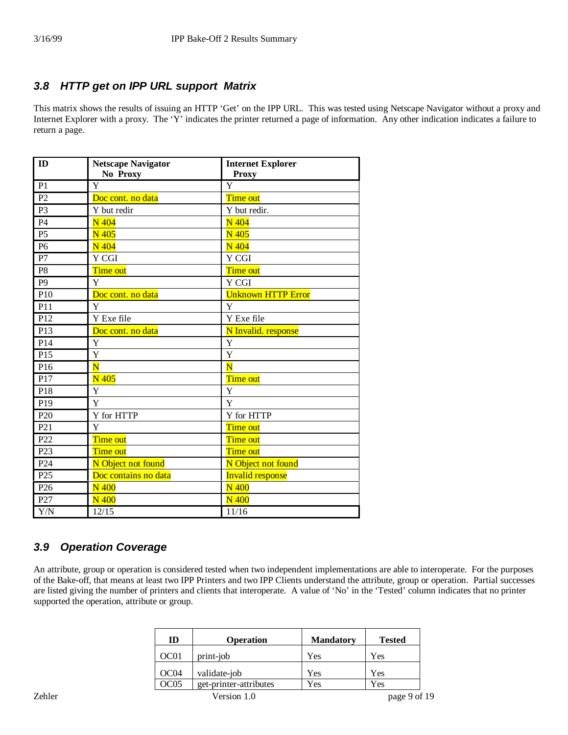#### *3.8 HTTP get on IPP URL support Matrix*

This matrix shows the results of issuing an HTTP 'Get' on the IPP URL. This was tested using Netscape Navigator without a proxy and Internet Explorer with a proxy. The 'Y' indicates the printer returned a page of information. Any other indication indicates a failure to return a page.

| ID               | <b>Netscape Navigator</b> | <b>Internet Explorer</b>  |
|------------------|---------------------------|---------------------------|
|                  | No Proxy                  | <b>Proxy</b>              |
| P <sub>1</sub>   | Y                         | $\overline{\mathrm{Y}}$   |
| P <sub>2</sub>   | Doc cont. no data         | Time out                  |
| P <sub>3</sub>   | Y but redir               | Y but redir.              |
| P4               | N 404                     | N 404                     |
| P <sub>5</sub>   | N 405                     | N 405                     |
| P <sub>6</sub>   | N 404                     | N 404                     |
| P7               | Y CGI                     | Y CGI                     |
| P <sub>8</sub>   | Time out                  | Time out                  |
| P <sub>9</sub>   | Y                         | Y CGI                     |
| P <sub>10</sub>  | Doc cont. no data         | <b>Unknown HTTP Error</b> |
| P11              | Y                         | Y                         |
| P <sub>12</sub>  | Y Exe file                | Y Exe file                |
| P13              | Doc cont. no data         | N Invalid. response       |
| P <sub>14</sub>  | Y                         | Y                         |
| P <sub>15</sub>  | Y                         | Y                         |
| P <sub>16</sub>  | $\overline{\mathbf{N}}$   | $\overline{\mathbf{N}}$   |
| P17              | N 405                     | Time out                  |
| P18              | Y                         | Y                         |
| P <sub>19</sub>  | Y                         | Y                         |
| P <sub>20</sub>  | Y for HTTP                | Y for HTTP                |
| $\overline{P21}$ | Y                         | Time out                  |
| P <sub>22</sub>  | Time out                  | Time out                  |
| P <sub>23</sub>  | Time out                  | Time out                  |
| P <sub>24</sub>  | N Object not found        | N Object not found        |
| P25              | Doc contains no data      | <b>Invalid response</b>   |
| P <sub>26</sub>  | $N_{400}$                 | $N_{400}$                 |
| P27              | <b>N</b> 400              | N 400                     |
| Y/N              | 12/15                     | 11/16                     |

#### *3.9 Operation Coverage*

An attribute, group or operation is considered tested when two independent implementations are able to interoperate. For the purposes of the Bake-off, that means at least two IPP Printers and two IPP Clients understand the attribute, group or operation. Partial successes are listed giving the number of printers and clients that interoperate. A value of 'No' in the 'Tested' column indicates that no printer supported the operation, attribute or group.

|        | ID               | <b>Operation</b>       | <b>Mandatory</b> | <b>Tested</b> |  |
|--------|------------------|------------------------|------------------|---------------|--|
|        | OC <sub>01</sub> | print-job              | Yes              | Yes           |  |
|        | OC <sub>04</sub> | validate-job           | Yes              | Yes           |  |
|        | OC <sub>05</sub> | get-printer-attributes | Yes              | Yes           |  |
| Zehler |                  | Version 1.0            |                  | page 9 of 19  |  |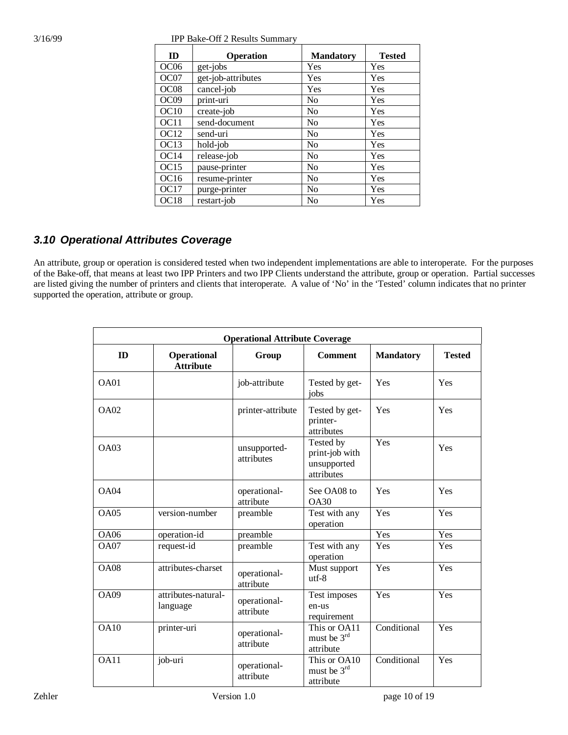| 3/16/99 | <b>IPP Bake-Off 2 Results Summary</b> |
|---------|---------------------------------------|
|         |                                       |

| ID               | <b>Operation</b>   | <b>Mandatory</b> | <b>Tested</b> |
|------------------|--------------------|------------------|---------------|
| OC <sub>06</sub> | get-jobs           | Yes              | Yes           |
| OC07             | get-job-attributes | Yes              | Yes           |
| OC <sub>08</sub> | cancel-job         | Yes              | Yes           |
| OC <sub>09</sub> | print-uri          | N <sub>0</sub>   | Yes           |
| OC10             | create-job         | N <sub>0</sub>   | Yes           |
| OC11             | send-document      | No               | Yes           |
| OC <sub>12</sub> | send-uri           | N <sub>0</sub>   | Yes           |
| OC <sub>13</sub> | hold-job           | N <sub>0</sub>   | Yes           |
| OC14             | release-job        | N <sub>0</sub>   | Yes           |
| OC15             | pause-printer      | N <sub>0</sub>   | Yes           |
| OC <sub>16</sub> | resume-printer     | N <sub>0</sub>   | Yes           |
| OC17             | purge-printer      | N <sub>0</sub>   | Yes           |
| OC <sub>18</sub> | restart-job        | N <sub>o</sub>   | Yes           |

#### *3.10 Operational Attributes Coverage*

An attribute, group or operation is considered tested when two independent implementations are able to interoperate. For the purposes of the Bake-off, that means at least two IPP Printers and two IPP Clients understand the attribute, group or operation. Partial successes are listed giving the number of printers and clients that interoperate. A value of 'No' in the 'Tested' column indicates that no printer supported the operation, attribute or group.

| <b>Operational Attribute Coverage</b> |                                 |                            |                                                          |                  |               |  |
|---------------------------------------|---------------------------------|----------------------------|----------------------------------------------------------|------------------|---------------|--|
| ID                                    | Operational<br><b>Attribute</b> | Group                      | <b>Comment</b>                                           | <b>Mandatory</b> | <b>Tested</b> |  |
| OAO1                                  |                                 | job-attribute              | Tested by get-<br>jobs                                   | Yes              | Yes           |  |
| OA02                                  |                                 | printer-attribute          | Tested by get-<br>printer-<br>attributes                 | Yes              | Yes           |  |
| OAO3                                  |                                 | unsupported-<br>attributes | Tested by<br>print-job with<br>unsupported<br>attributes | Yes              | Yes           |  |
| OA04                                  |                                 | operational-<br>attribute  | See OA08 to<br><b>OA30</b>                               | Yes              | Yes           |  |
| OA05                                  | version-number                  | preamble                   | Test with any<br>operation                               | Yes              | Yes           |  |
| <b>OA06</b>                           | operation-id                    | preamble                   |                                                          | Yes              | Yes           |  |
| <b>OA07</b>                           | request-id                      | preamble                   | Test with any<br>operation                               | Yes              | Yes           |  |
| <b>OA08</b>                           | attributes-charset              | operational-<br>attribute  | Must support<br>$utf-8$                                  | Yes              | Yes           |  |
| OA09                                  | attributes-natural-<br>language | operational-<br>attribute  | Test imposes<br>en-us<br>requirement                     | Yes              | Yes           |  |
| <b>OA10</b>                           | printer-uri                     | operational-<br>attribute  | This or OA11<br>must be $3^{rd}$<br>attribute            | Conditional      | Yes           |  |
| OA11                                  | job-uri                         | operational-<br>attribute  | This or OA10<br>must be $3^{rd}$<br>attribute            | Conditional      | Yes           |  |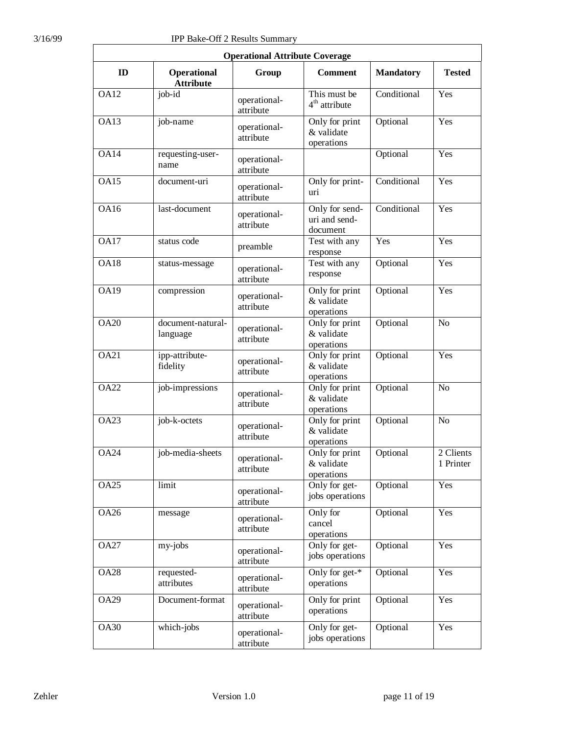| <b>Operational Attribute Coverage</b> |                                 |                           |                                             |                  |                        |  |  |
|---------------------------------------|---------------------------------|---------------------------|---------------------------------------------|------------------|------------------------|--|--|
| ID                                    | Operational<br><b>Attribute</b> | Group                     | <b>Comment</b>                              | <b>Mandatory</b> | <b>Tested</b>          |  |  |
| <b>OA12</b>                           | job-id                          | operational-<br>attribute | This must be<br>4 <sup>th</sup> attribute   | Conditional      | Yes                    |  |  |
| OA13                                  | job-name                        | operational-<br>attribute | Only for print<br>& validate<br>operations  | Optional         | Yes                    |  |  |
| <b>OA14</b>                           | requesting-user-<br>name        | operational-<br>attribute |                                             | Optional         | Yes                    |  |  |
| OA15                                  | document-uri                    | operational-<br>attribute | Only for print-<br>uri                      | Conditional      | Yes                    |  |  |
| <b>OA16</b>                           | last-document                   | operational-<br>attribute | Only for send-<br>uri and send-<br>document | Conditional      | Yes                    |  |  |
| <b>OA17</b>                           | status code                     | preamble                  | Test with any<br>response                   | Yes              | Yes                    |  |  |
| <b>OA18</b>                           | status-message                  | operational-<br>attribute | Test with any<br>response                   | Optional         | Yes                    |  |  |
| <b>OA19</b>                           | compression                     | operational-<br>attribute | Only for print<br>& validate<br>operations  | Optional         | Yes                    |  |  |
| <b>OA20</b>                           | document-natural-<br>language   | operational-<br>attribute | Only for print<br>& validate<br>operations  | Optional         | N <sub>o</sub>         |  |  |
| <b>OA21</b>                           | ipp-attribute-<br>fidelity      | operational-<br>attribute | Only for print<br>& validate<br>operations  | Optional         | Yes                    |  |  |
| <b>OA22</b>                           | job-impressions                 | operational-<br>attribute | Only for print<br>& validate<br>operations  | Optional         | N <sub>o</sub>         |  |  |
| <b>OA23</b>                           | job-k-octets                    | operational-<br>attribute | Only for print<br>& validate<br>operations  | Optional         | N <sub>o</sub>         |  |  |
| <b>OA24</b>                           | job-media-sheets                | operational-<br>attribute | Only for print<br>& validate<br>operations  | Optional         | 2 Clients<br>1 Printer |  |  |
| <b>OA25</b>                           | limit                           | operational-<br>attribute | Only for get-<br>jobs operations            | Optional         | Yes                    |  |  |
| <b>OA26</b>                           | message                         | operational-<br>attribute | Only for<br>cancel<br>operations            | Optional         | Yes                    |  |  |
| <b>OA27</b>                           | my-jobs                         | operational-<br>attribute | Only for get-<br>jobs operations            | Optional         | Yes                    |  |  |
| <b>OA28</b>                           | requested-<br>attributes        | operational-<br>attribute | Only for $get-*$<br>operations              | Optional         | Yes                    |  |  |
| <b>OA29</b>                           | Document-format                 | operational-<br>attribute | Only for print<br>operations                | Optional         | Yes                    |  |  |
| <b>OA30</b>                           | which-jobs                      | operational-<br>attribute | Only for get-<br>jobs operations            | Optional         | Yes                    |  |  |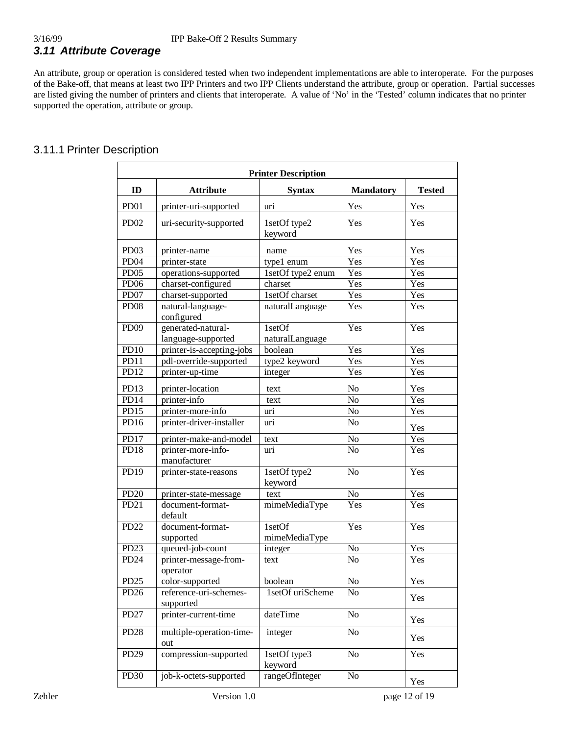An attribute, group or operation is considered tested when two independent implementations are able to interoperate. For the purposes of the Bake-off, that means at least two IPP Printers and two IPP Clients understand the attribute, group or operation. Partial successes are listed giving the number of printers and clients that interoperate. A value of 'No' in the 'Tested' column indicates that no printer supported the operation, attribute or group.

#### 3.11.1 Printer Description

| <b>Printer Description</b> |                                          |                           |                  |               |  |  |
|----------------------------|------------------------------------------|---------------------------|------------------|---------------|--|--|
| ID                         | <b>Attribute</b>                         | <b>Syntax</b>             | <b>Mandatory</b> | <b>Tested</b> |  |  |
| PD <sub>01</sub>           | printer-uri-supported                    | uri                       | Yes              | Yes           |  |  |
| PD <sub>02</sub>           | uri-security-supported                   | 1setOf type2<br>keyword   | Yes              | Yes           |  |  |
| PD <sub>03</sub>           | printer-name                             | name                      | Yes              | Yes           |  |  |
| PD <sub>04</sub>           | printer-state                            | type1 enum                | Yes              | Yes           |  |  |
| PD <sub>05</sub>           | operations-supported                     | 1setOf type2 enum         | Yes              | Yes           |  |  |
| PD <sub>06</sub>           | charset-configured                       | charset                   | Yes              | Yes           |  |  |
| PD07                       | charset-supported                        | 1setOf charset            | Yes              | Yes           |  |  |
| PD <sub>08</sub>           | natural-language-<br>configured          | naturalLanguage           | Yes              | Yes           |  |  |
| <b>PD09</b>                | generated-natural-<br>language-supported | 1setOf<br>naturalLanguage | Yes              | Yes           |  |  |
| <b>PD10</b>                | printer-is-accepting-jobs                | boolean                   | Yes              | Yes           |  |  |
| PD11                       | pdl-override-supported                   | type2 keyword             | Yes              | Yes           |  |  |
| PD12                       | printer-up-time                          | integer                   | Yes              | Yes           |  |  |
| PD13                       | printer-location                         | text                      | No               | Yes           |  |  |
| PD14                       | printer-info                             | text                      | N <sub>o</sub>   | Yes           |  |  |
| PD15                       | printer-more-info                        | uri                       | N <sub>o</sub>   | Yes           |  |  |
| PD16                       | printer-driver-installer                 | uri                       | No               | Yes           |  |  |
| PD17                       | printer-make-and-model                   | text                      | No               | Yes           |  |  |
| PD18                       | printer-more-info-<br>manufacturer       | uri                       | N <sub>o</sub>   | Yes           |  |  |
| PD19                       | printer-state-reasons                    | 1setOf type2<br>keyword   | N <sub>o</sub>   | Yes           |  |  |
| PD20                       | printer-state-message                    | text                      | N <sub>o</sub>   | Yes           |  |  |
| PD21                       | document-format-<br>default              | mimeMediaType             | Yes              | Yes           |  |  |
| <b>PD22</b>                | document-format-<br>supported            | 1setOf<br>mimeMediaType   | Yes              | Yes           |  |  |
| PD <sub>23</sub>           | queued-job-count                         | integer                   | No               | Yes           |  |  |
| PD <sub>24</sub>           | printer-message-from-<br>operator        | text                      | N <sub>o</sub>   | Yes           |  |  |
| PD <sub>25</sub>           | color-supported                          | boolean                   | No               | Yes           |  |  |
| PD <sub>26</sub>           | reference-uri-schemes-<br>supported      | 1setOf uriScheme          | N <sub>0</sub>   | Yes           |  |  |
| PD27                       | printer-current-time                     | dateTime                  | N <sub>o</sub>   | Yes           |  |  |
| PD <sub>28</sub>           | multiple-operation-time-<br>out          | integer                   | No               | Yes           |  |  |
| PD <sub>29</sub>           | compression-supported                    | 1setOf type3<br>keyword   | No               | Yes           |  |  |
| PD <sub>30</sub>           | job-k-octets-supported                   | rangeOfInteger            | N <sub>o</sub>   | Yes           |  |  |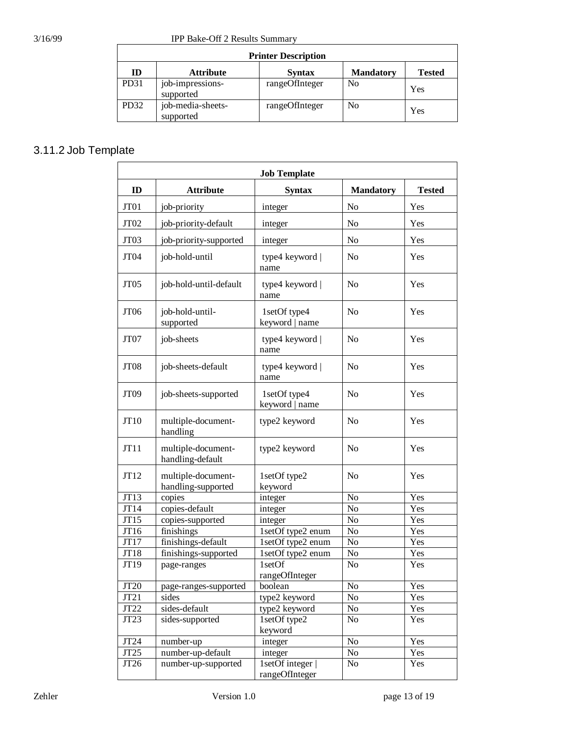3/16/99 IPP Bake-Off 2 Results Summary

| <b>Printer Description</b> |                                |                |                  |               |  |
|----------------------------|--------------------------------|----------------|------------------|---------------|--|
| ID                         | <b>Attribute</b>               | <b>Syntax</b>  | <b>Mandatory</b> | <b>Tested</b> |  |
| PD31                       | job-impressions-<br>supported  | rangeOfInteger | No               | Yes           |  |
| PD <sub>32</sub>           | job-media-sheets-<br>supported | rangeOfInteger | No               | Yes           |  |

### 3.11.2 Job Template

| <b>Job Template</b> |                                          |                                  |                  |               |  |
|---------------------|------------------------------------------|----------------------------------|------------------|---------------|--|
| ID                  | <b>Attribute</b>                         | <b>Syntax</b>                    | <b>Mandatory</b> | <b>Tested</b> |  |
| JT01                | job-priority                             | integer                          | No               | Yes           |  |
| JT <sub>02</sub>    | job-priority-default                     | integer                          | No               | Yes           |  |
| JT03                | job-priority-supported                   | integer                          | No               | Yes           |  |
| JT04                | job-hold-until                           | type4 keyword  <br>name          | No               | Yes           |  |
| JT <sub>05</sub>    | job-hold-until-default                   | type4 keyword  <br>name          | No               | Yes           |  |
| JT06                | job-hold-until-<br>supported             | 1setOf type4<br>keyword   name   | N <sub>o</sub>   | Yes           |  |
| JT07                | job-sheets                               | type4 keyword  <br>name          | N <sub>o</sub>   | Yes           |  |
| JT <sub>08</sub>    | job-sheets-default                       | type4 keyword  <br>name          | N <sub>o</sub>   | Yes           |  |
| JT <sub>09</sub>    | job-sheets-supported                     | 1setOf type4<br>keyword   name   | No               | Yes           |  |
| JT10                | multiple-document-<br>handling           | type2 keyword                    | N <sub>o</sub>   | Yes           |  |
| JT11                | multiple-document-<br>handling-default   | type2 keyword                    | No               | Yes           |  |
| JT12                | multiple-document-<br>handling-supported | 1setOf type2<br>keyword          | N <sub>o</sub>   | Yes           |  |
| JT13                | copies                                   | integer                          | No               | Yes           |  |
| JT14                | copies-default                           | integer                          | No               | Yes           |  |
| JT15                | copies-supported                         | integer                          | No               | Yes           |  |
| JT16                | finishings                               | 1setOf type2 enum                | No               | Yes           |  |
| JT17                | finishings-default                       | 1setOf type2 enum                | No               | Yes           |  |
| JT18                | finishings-supported                     | 1setOf type2 enum                | No               | Yes           |  |
| JT19                | page-ranges                              | $1set$ Of<br>rangeOfInteger      | No               | Yes           |  |
| JT20                | page-ranges-supported                    | boolean                          | No               | Yes           |  |
| JT21                | sides                                    | type2 keyword                    | No               | Yes           |  |
| JT22                | sides-default                            | type2 keyword                    | No               | Yes           |  |
| JT23                | sides-supported                          | 1setOf type2<br>keyword          | No               | Yes           |  |
| JT24                | number-up                                | integer                          | No               | Yes           |  |
| JT25                | number-up-default                        | integer                          | No               | Yes           |  |
| JT26                | number-up-supported                      | 1setOf integer<br>rangeOfInteger | No               | Yes           |  |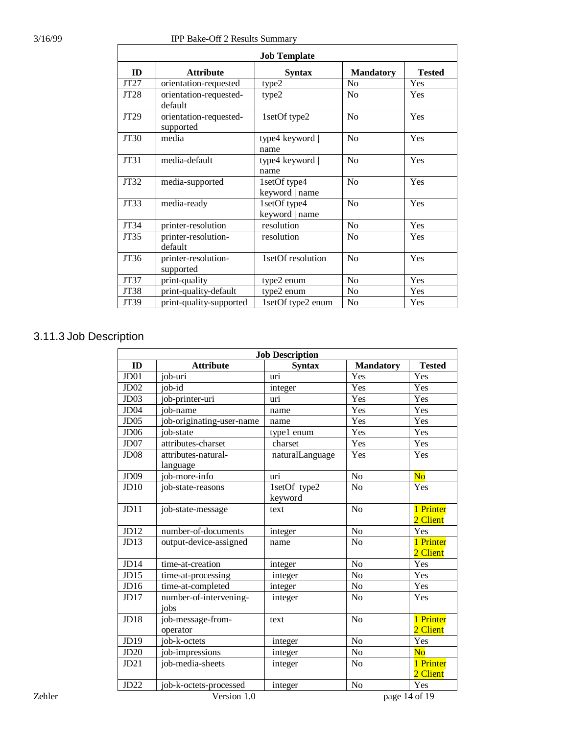| <b>Job Template</b> |                                     |                                |                  |               |  |  |
|---------------------|-------------------------------------|--------------------------------|------------------|---------------|--|--|
| ID                  | <b>Attribute</b>                    | <b>Syntax</b>                  | <b>Mandatory</b> | <b>Tested</b> |  |  |
| JT27                | orientation-requested               | type2                          | N <sub>0</sub>   | Yes           |  |  |
| JT28                | orientation-requested-<br>default   | type2                          | N <sub>0</sub>   | Yes           |  |  |
| JT29                | orientation-requested-<br>supported | 1setOf type2                   | No               | Yes           |  |  |
| JT30                | media                               | type4 keyword  <br>name        | N <sub>o</sub>   | Yes           |  |  |
| JT31                | media-default                       | type4 keyword  <br>name        | No               | Yes           |  |  |
| JT32                | media-supported                     | 1setOf type4<br>keyword   name | N <sub>0</sub>   | Yes           |  |  |
| JT33                | media-ready                         | 1setOf type4<br>keyword   name | N <sub>0</sub>   | Yes           |  |  |
| JT34                | printer-resolution                  | resolution                     | N <sub>o</sub>   | Yes           |  |  |
| JT35                | printer-resolution-<br>default      | resolution                     | N <sub>0</sub>   | Yes           |  |  |
| JT36                | printer-resolution-<br>supported    | 1setOf resolution              | No               | Yes           |  |  |
| JT37                | print-quality                       | type2 enum                     | N <sub>0</sub>   | Yes           |  |  |
| JT38                | print-quality-default               | type2 enum                     | N <sub>0</sub>   | Yes           |  |  |
| JT39                | print-quality-supported             | 1setOf type2 enum              | N <sub>0</sub>   | Yes           |  |  |

#### 3.11.3 Job Description

|        | <b>Job Description</b> |                           |                 |                  |                        |
|--------|------------------------|---------------------------|-----------------|------------------|------------------------|
|        | ID                     | <b>Attribute</b>          | <b>Syntax</b>   | <b>Mandatory</b> | <b>Tested</b>          |
|        | $J$ D $01$             | job-uri                   | uri             | Yes              | Yes                    |
|        | J <sub>D</sub> 02      | job-id                    | integer         | Yes              | Yes                    |
|        | J <sub>D03</sub>       | job-printer-uri           | uri             | Yes              | Yes                    |
|        | JD04                   | job-name                  | name            | Yes              | Yes                    |
|        | J <sub>D05</sub>       | job-originating-user-name | name            | Yes              | Yes                    |
|        | <b>JD06</b>            | job-state                 | type1 enum      | Yes              | Yes                    |
|        | JD07                   | attributes-charset        | charset         | Yes              | Yes                    |
|        | JD <sub>08</sub>       | attributes-natural-       | naturalLanguage | Yes              | Yes                    |
|        |                        | language                  |                 |                  |                        |
|        | JD09                   | job-more-info             | uri             | $\overline{No}$  | $\overline{\text{No}}$ |
|        | JD10                   | job-state-reasons         | 1setOf type2    | No               | Yes                    |
|        |                        |                           | keyword         |                  |                        |
|        | JD11                   | job-state-message         | text            | No               | 1 Printer              |
|        |                        |                           |                 |                  | 2 Client               |
|        | JD12                   | number-of-documents       | integer         | N <sub>o</sub>   | Yes                    |
|        | JD13                   | output-device-assigned    | name            | No               | 1 Printer              |
|        |                        |                           |                 |                  | 2 Client               |
|        | JD14                   | time-at-creation          | integer         | N <sub>o</sub>   | Yes                    |
|        | JD15                   | time-at-processing        | integer         | $\rm No$         | Yes                    |
|        | JD16                   | time-at-completed         | integer         | N <sub>o</sub>   | Yes                    |
|        | JD17                   | number-of-intervening-    | integer         | No               | Yes                    |
|        |                        | jobs                      |                 |                  |                        |
|        | JD18                   | job-message-from-         | text            | $\rm No$         | 1 Printer              |
|        |                        | operator                  |                 |                  | 2 Client               |
|        | JD19                   | job-k-octets              | integer         | $\rm No$         | Yes                    |
|        | JD20                   | job-impressions           | integer         | N <sub>o</sub>   | No                     |
|        | JD21                   | job-media-sheets          | integer         | N <sub>o</sub>   | 1 Printer              |
|        |                        |                           |                 |                  | 2 Client               |
|        | JD22                   | job-k-octets-processed    | integer         | N <sub>o</sub>   | Yes                    |
| Zehler |                        | Version 1.0               |                 |                  | page 14 of 19          |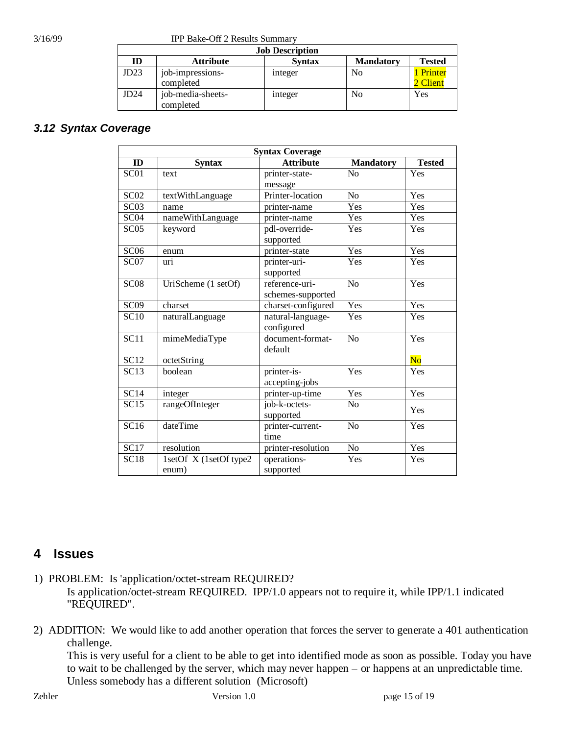3/16/99 IPP Bake-Off 2 Results Summary

| <b>Job Description</b> |                                |               |                  |                     |  |
|------------------------|--------------------------------|---------------|------------------|---------------------|--|
| ID                     | <b>Attribute</b>               | <b>Syntax</b> | <b>Mandatory</b> | <b>Tested</b>       |  |
| JD23                   | job-impressions-<br>completed  | integer       | No               | Printer<br>2 Client |  |
| JD24                   | job-media-sheets-<br>completed | integer       | No               | Yes                 |  |

#### *3.12 Syntax Coverage*

| <b>Syntax Coverage</b> |                                 |                                     |                  |                |  |
|------------------------|---------------------------------|-------------------------------------|------------------|----------------|--|
| ID                     | <b>Syntax</b>                   | <b>Attribute</b>                    | <b>Mandatory</b> | <b>Tested</b>  |  |
| SC <sub>01</sub>       | text                            | printer-state-                      | No               | Yes            |  |
|                        |                                 | message                             |                  |                |  |
| SC <sub>02</sub>       | textWithLanguage                | Printer-location                    | N <sub>o</sub>   | Yes            |  |
| SC03                   | name                            | printer-name                        | Yes              | Yes            |  |
| SC <sub>04</sub>       | nameWithLanguage                | printer-name                        | Yes              | Yes            |  |
| SC <sub>05</sub>       | keyword                         | pdl-override-<br>supported          | Yes              | Yes            |  |
| SC <sub>06</sub>       | enum                            | printer-state                       | Yes              | Yes            |  |
| SC <sub>07</sub>       | uri                             | printer-uri-<br>supported           | Yes              | Yes            |  |
| SC <sub>08</sub>       | UriScheme (1 setOf)             | reference-uri-<br>schemes-supported | N <sub>o</sub>   | Yes            |  |
| SC <sub>09</sub>       | charset                         | charset-configured                  | Yes              | Yes            |  |
| SC10                   | naturalLanguage                 | natural-language-<br>configured     | Yes              | Yes            |  |
| $\overline{SC11}$      | mimeMediaType                   | document-format-<br>default         | N <sub>o</sub>   | Yes            |  |
| $\overline{SC12}$      | octetString                     |                                     |                  | N <sub>o</sub> |  |
| SC13                   | boolean                         | printer-is-<br>accepting-jobs       | Yes              | Yes            |  |
| SC14                   | integer                         | printer-up-time                     | Yes              | Yes            |  |
| SC15                   | rangeOfInteger                  | job-k-octets-<br>supported          | N <sub>0</sub>   | Yes            |  |
| SC16                   | dateTime                        | printer-current-<br>time            | N <sub>o</sub>   | Yes            |  |
| SC17                   | resolution                      | printer-resolution                  | N <sub>o</sub>   | Yes            |  |
| <b>SC18</b>            | 1setOf X (1setOf type2<br>enum) | operations-<br>supported            | Yes              | Yes            |  |

#### **4 Issues**

- 1) PROBLEM: Is 'application/octet-stream REQUIRED? Is application/octet-stream REQUIRED. IPP/1.0 appears not to require it, while IPP/1.1 indicated "REQUIRED".
- 2) ADDITION: We would like to add another operation that forces the server to generate a 401 authentication challenge.

This is very useful for a client to be able to get into identified mode as soon as possible. Today you have to wait to be challenged by the server, which may never happen – or happens at an unpredictable time. Unless somebody has a different solution (Microsoft)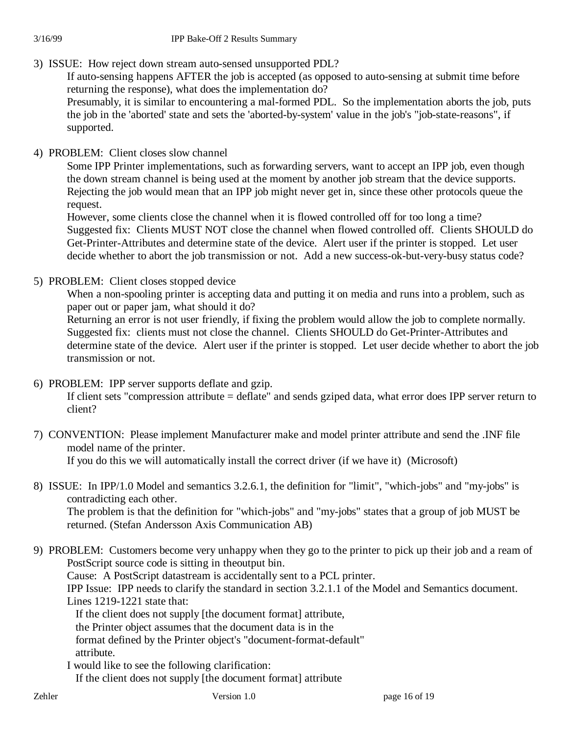3) ISSUE: How reject down stream auto-sensed unsupported PDL?

If auto-sensing happens AFTER the job is accepted (as opposed to auto-sensing at submit time before returning the response), what does the implementation do?

Presumably, it is similar to encountering a mal-formed PDL. So the implementation aborts the job, puts the job in the 'aborted' state and sets the 'aborted-by-system' value in the job's "job-state-reasons", if supported.

4) PROBLEM: Client closes slow channel

Some IPP Printer implementations, such as forwarding servers, want to accept an IPP job, even though the down stream channel is being used at the moment by another job stream that the device supports. Rejecting the job would mean that an IPP job might never get in, since these other protocols queue the request.

However, some clients close the channel when it is flowed controlled off for too long a time? Suggested fix: Clients MUST NOT close the channel when flowed controlled off. Clients SHOULD do Get-Printer-Attributes and determine state of the device. Alert user if the printer is stopped. Let user decide whether to abort the job transmission or not. Add a new success-ok-but-very-busy status code?

5) PROBLEM: Client closes stopped device

When a non-spooling printer is accepting data and putting it on media and runs into a problem, such as paper out or paper jam, what should it do?

Returning an error is not user friendly, if fixing the problem would allow the job to complete normally. Suggested fix: clients must not close the channel. Clients SHOULD do Get-Printer-Attributes and determine state of the device. Alert user if the printer is stopped. Let user decide whether to abort the job transmission or not.

6) PROBLEM: IPP server supports deflate and gzip.

If client sets "compression attribute = deflate" and sends gziped data, what error does IPP server return to client?

7) CONVENTION: Please implement Manufacturer make and model printer attribute and send the .INF file model name of the printer. If you do this we will automatically install the correct driver (if we have it) (Microsoft)

8) ISSUE: In IPP/1.0 Model and semantics 3.2.6.1, the definition for "limit", "which-jobs" and "my-jobs" is contradicting each other. The problem is that the definition for "which-jobs" and "my-jobs" states that a group of job MUST be returned. (Stefan Andersson Axis Communication AB)

9) PROBLEM: Customers become very unhappy when they go to the printer to pick up their job and a ream of PostScript source code is sitting in theoutput bin. Cause: A PostScript datastream is accidentally sent to a PCL printer. IPP Issue: IPP needs to clarify the standard in section 3.2.1.1 of the Model and Semantics document. Lines 1219-1221 state that: If the client does not supply [the document format] attribute, the Printer object assumes that the document data is in the format defined by the Printer object's "document-format-default" attribute. I would like to see the following clarification:

If the client does not supply [the document format] attribute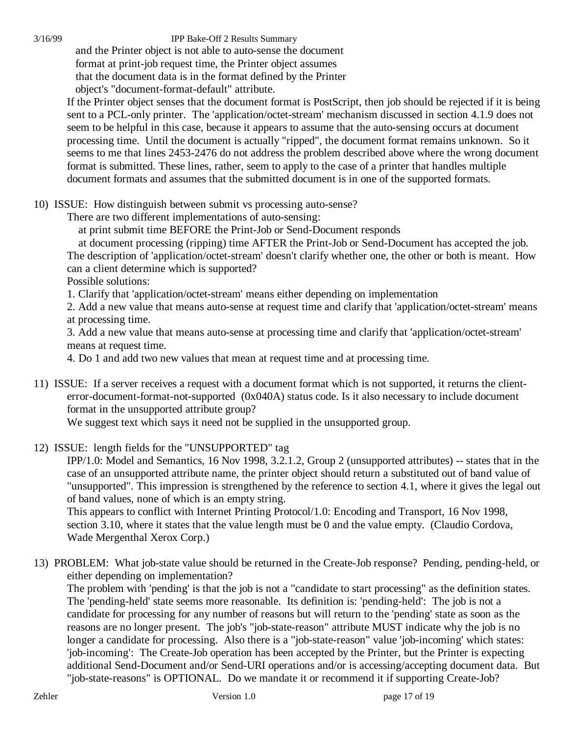3/16/99 IPP Bake-Off 2 Results Summary

 and the Printer object is not able to auto-sense the document format at print-job request time, the Printer object assumes that the document data is in the format defined by the Printer object's "document-format-default" attribute.

If the Printer object senses that the document format is PostScript, then job should be rejected if it is being sent to a PCL-only printer. The 'application/octet-stream' mechanism discussed in section 4.1.9 does not seem to be helpful in this case, because it appears to assume that the auto-sensing occurs at document processing time. Until the document is actually "ripped", the document format remains unknown. So it seems to me that lines 2453-2476 do not address the problem described above where the wrong document format is submitted. These lines, rather, seem to apply to the case of a printer that handles multiple document formats and assumes that the submitted document is in one of the supported formats.

10) ISSUE: How distinguish between submit vs processing auto-sense?

There are two different implementations of auto-sensing:

at print submit time BEFORE the Print-Job or Send-Document responds

 at document processing (ripping) time AFTER the Print-Job or Send-Document has accepted the job. The description of 'application/octet-stream' doesn't clarify whether one, the other or both is meant. How can a client determine which is supported?

Possible solutions:

1. Clarify that 'application/octet-stream' means either depending on implementation

2. Add a new value that means auto-sense at request time and clarify that 'application/octet-stream' means at processing time.

3. Add a new value that means auto-sense at processing time and clarify that 'application/octet-stream' means at request time.

4. Do 1 and add two new values that mean at request time and at processing time.

11) ISSUE: If a server receives a request with a document format which is not supported, it returns the clienterror-document-format-not-supported (0x040A) status code. Is it also necessary to include document format in the unsupported attribute group?

We suggest text which says it need not be supplied in the unsupported group.

12) ISSUE: length fields for the "UNSUPPORTED" tag

IPP/1.0: Model and Semantics, 16 Nov 1998, 3.2.1.2, Group 2 (unsupported attributes) -- states that in the case of an unsupported attribute name, the printer object should return a substituted out of band value of "unsupported". This impression is strengthened by the reference to section 4.1, where it gives the legal out of band values, none of which is an empty string.

This appears to conflict with Internet Printing Protocol/1.0: Encoding and Transport, 16 Nov 1998, section 3.10, where it states that the value length must be 0 and the value empty. (Claudio Cordova, Wade Mergenthal Xerox Corp.)

13) PROBLEM: What job-state value should be returned in the Create-Job response? Pending, pending-held, or either depending on implementation?

The problem with 'pending' is that the job is not a "candidate to start processing" as the definition states. The 'pending-held' state seems more reasonable. Its definition is: 'pending-held': The job is not a candidate for processing for any number of reasons but will return to the 'pending' state as soon as the reasons are no longer present. The job's "job-state-reason" attribute MUST indicate why the job is no longer a candidate for processing. Also there is a "job-state-reason" value 'job-incoming' which states: 'job-incoming': The Create-Job operation has been accepted by the Printer, but the Printer is expecting additional Send-Document and/or Send-URI operations and/or is accessing/accepting document data. But "job-state-reasons" is OPTIONAL. Do we mandate it or recommend it if supporting Create-Job?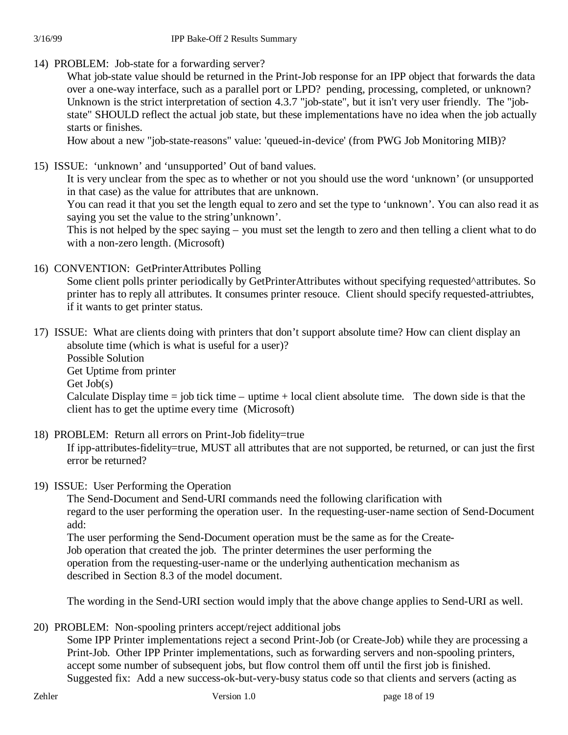#### 3/16/99 IPP Bake-Off 2 Results Summary

14) PROBLEM: Job-state for a forwarding server?

What job-state value should be returned in the Print-Job response for an IPP object that forwards the data over a one-way interface, such as a parallel port or LPD? pending, processing, completed, or unknown? Unknown is the strict interpretation of section 4.3.7 "job-state", but it isn't very user friendly. The "jobstate" SHOULD reflect the actual job state, but these implementations have no idea when the job actually starts or finishes.

How about a new "job-state-reasons" value: 'queued-in-device' (from PWG Job Monitoring MIB)?

15) ISSUE: 'unknown' and 'unsupported' Out of band values.

It is very unclear from the spec as to whether or not you should use the word 'unknown' (or unsupported in that case) as the value for attributes that are unknown.

You can read it that you set the length equal to zero and set the type to 'unknown'. You can also read it as saying you set the value to the string'unknown'.

This is not helped by the spec saying – you must set the length to zero and then telling a client what to do with a non-zero length. (Microsoft)

16) CONVENTION: GetPrinterAttributes Polling

Some client polls printer periodically by GetPrinterAttributes without specifying requested^attributes. So printer has to reply all attributes. It consumes printer resouce. Client should specify requested-attriubtes, if it wants to get printer status.

- 17) ISSUE: What are clients doing with printers that don't support absolute time? How can client display an absolute time (which is what is useful for a user)?
	- Possible Solution

Get Uptime from printer

Get Job(s)

Calculate Display time  $=$  job tick time  $-$  uptime  $+$  local client absolute time. The down side is that the client has to get the uptime every time (Microsoft)

18) PROBLEM: Return all errors on Print-Job fidelity=true

If ipp-attributes-fidelity=true, MUST all attributes that are not supported, be returned, or can just the first error be returned?

19) ISSUE: User Performing the Operation

The Send-Document and Send-URI commands need the following clarification with regard to the user performing the operation user. In the requesting-user-name section of Send-Document add:

The user performing the Send-Document operation must be the same as for the Create-Job operation that created the job. The printer determines the user performing the operation from the requesting-user-name or the underlying authentication mechanism as described in Section 8.3 of the model document.

The wording in the Send-URI section would imply that the above change applies to Send-URI as well.

20) PROBLEM: Non-spooling printers accept/reject additional jobs

Some IPP Printer implementations reject a second Print-Job (or Create-Job) while they are processing a Print-Job. Other IPP Printer implementations, such as forwarding servers and non-spooling printers, accept some number of subsequent jobs, but flow control them off until the first job is finished. Suggested fix: Add a new success-ok-but-very-busy status code so that clients and servers (acting as